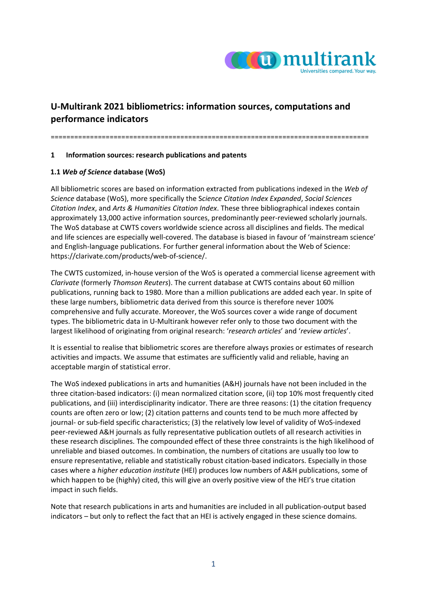

# **U‐Multirank 2021 bibliometrics: information sources, computations and performance indicators**

=================================================================================

#### **1 Information sources: research publications and patents**

### **1.1** *Web of Science* **database (WoS)**

All bibliometric scores are based on information extracted from publications indexed in the *Web of Science* database (WoS), more specifically the S*cience Citation Index Expanded*, *Social Sciences Citation Index*, and *Arts & Humanities Citation Index*. These three bibliographical indexes contain approximately 13,000 active information sources, predominantly peer-reviewed scholarly journals. The WoS database at CWTS covers worldwide science across all disciplines and fields. The medical and life sciences are especially well‐covered. The database is biased in favour of 'mainstream science' and English-language publications. For further general information about the Web of Science: https://clarivate.com/products/web‐of‐science/.

The CWTS customized, in‐house version of the WoS is operated a commercial license agreement with *Clarivate* (formerly *Thomson Reuters*). The current database at CWTS contains about 60 million publications, running back to 1980. More than a million publications are added each year. In spite of these large numbers, bibliometric data derived from this source is therefore never 100% comprehensive and fully accurate. Moreover, the WoS sources cover a wide range of document types. The bibliometric data in U‐Multirank however refer only to those two document with the largest likelihood of originating from original research: '*research articles*' and '*review articles*'.

It is essential to realise that bibliometric scores are therefore always proxies or estimates of research activities and impacts. We assume that estimates are sufficiently valid and reliable, having an acceptable margin of statistical error.

The WoS indexed publications in arts and humanities (A&H) journals have not been included in the three citation‐based indicators: (i) mean normalized citation score, (ii) top 10% most frequently cited publications, and (iii) interdisciplinarity indicator. There are three reasons: (1) the citation frequency counts are often zero or low; (2) citation patterns and counts tend to be much more affected by journal‐ or sub‐field specific characteristics; (3) the relatively low level of validity of WoS‐indexed peer-reviewed A&H journals as fully representative publication outlets of all research activities in these research disciplines. The compounded effect of these three constraints is the high likelihood of unreliable and biased outcomes. In combination, the numbers of citations are usually too low to ensure representative, reliable and statistically robust citation‐based indicators. Especially in those cases where a *higher education institute* (HEI) produces low numbers of A&H publications, some of which happen to be (highly) cited, this will give an overly positive view of the HEI's true citation impact in such fields.

Note that research publications in arts and humanities are included in all publication‐output based indicators – but only to reflect the fact that an HEI is actively engaged in these science domains.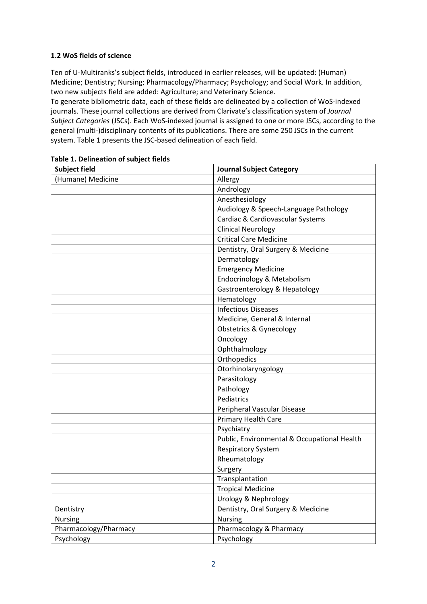### **1.2 WoS fields of science**

Ten of U‐Multiranks's subject fields, introduced in earlier releases, will be updated: (Human) Medicine; Dentistry; Nursing; Pharmacology/Pharmacy; Psychology; and Social Work. In addition, two new subjects field are added: Agriculture; and Veterinary Science.

To generate bibliometric data, each of these fields are delineated by a collection of WoS‐indexed journals. These journal collections are derived from Clarivate's classification system of *Journal Subject Categories* (JSCs). Each WoS‐indexed journal is assigned to one or more JSCs, according to the general (multi‐)disciplinary contents of its publications. There are some 250 JSCs in the current system. Table 1 presents the JSC‐based delineation of each field.

| <b>Subject field</b>  | <b>Journal Subject Category</b>             |
|-----------------------|---------------------------------------------|
| (Humane) Medicine     | Allergy                                     |
|                       | Andrology                                   |
|                       | Anesthesiology                              |
|                       | Audiology & Speech-Language Pathology       |
|                       | Cardiac & Cardiovascular Systems            |
|                       | <b>Clinical Neurology</b>                   |
|                       | <b>Critical Care Medicine</b>               |
|                       | Dentistry, Oral Surgery & Medicine          |
|                       | Dermatology                                 |
|                       | <b>Emergency Medicine</b>                   |
|                       | Endocrinology & Metabolism                  |
|                       | Gastroenterology & Hepatology               |
|                       | Hematology                                  |
|                       | <b>Infectious Diseases</b>                  |
|                       | Medicine, General & Internal                |
|                       | <b>Obstetrics &amp; Gynecology</b>          |
|                       | Oncology                                    |
|                       | Ophthalmology                               |
|                       | Orthopedics                                 |
|                       | Otorhinolaryngology                         |
|                       | Parasitology                                |
|                       | Pathology                                   |
|                       | Pediatrics                                  |
|                       | Peripheral Vascular Disease                 |
|                       | <b>Primary Health Care</b>                  |
|                       | Psychiatry                                  |
|                       | Public, Environmental & Occupational Health |
|                       | <b>Respiratory System</b>                   |
|                       | Rheumatology                                |
|                       | Surgery                                     |
|                       | Transplantation                             |
|                       | <b>Tropical Medicine</b>                    |
|                       | <b>Urology &amp; Nephrology</b>             |
| Dentistry             | Dentistry, Oral Surgery & Medicine          |
| <b>Nursing</b>        | <b>Nursing</b>                              |
| Pharmacology/Pharmacy | Pharmacology & Pharmacy                     |
| Psychology            | Psychology                                  |

### **Table 1. Delineation of subject fields**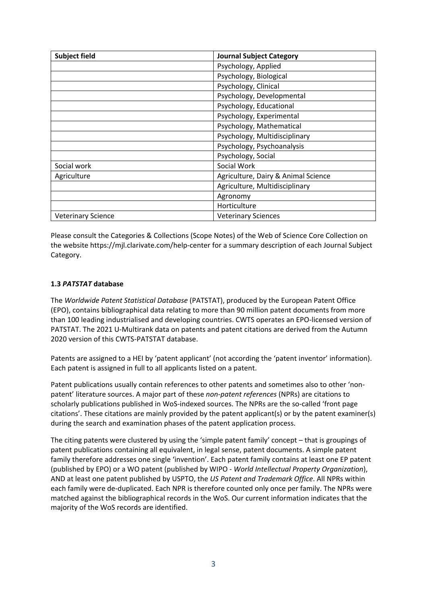| <b>Subject field</b>      | <b>Journal Subject Category</b>     |
|---------------------------|-------------------------------------|
|                           | Psychology, Applied                 |
|                           | Psychology, Biological              |
|                           | Psychology, Clinical                |
|                           | Psychology, Developmental           |
|                           | Psychology, Educational             |
|                           | Psychology, Experimental            |
|                           | Psychology, Mathematical            |
|                           | Psychology, Multidisciplinary       |
|                           | Psychology, Psychoanalysis          |
|                           | Psychology, Social                  |
| Social work               | Social Work                         |
| Agriculture               | Agriculture, Dairy & Animal Science |
|                           | Agriculture, Multidisciplinary      |
|                           | Agronomy                            |
|                           | Horticulture                        |
| <b>Veterinary Science</b> | <b>Veterinary Sciences</b>          |

Please consult the Categories & Collections (Scope Notes) of the Web of Science Core Collection on the website https://mjl.clarivate.com/help‐center for a summary description of each Journal Subject Category.

### **1.3** *PATSTAT* **database**

The *Worldwide Patent Statistical Database* (PATSTAT), produced by the European Patent Office (EPO), contains bibliographical data relating to more than 90 million patent documents from more than 100 leading industrialised and developing countries. CWTS operates an EPO‐licensed version of PATSTAT. The 2021 U-Multirank data on patents and patent citations are derived from the Autumn 2020 version of this CWTS‐PATSTAT database.

Patents are assigned to a HEI by 'patent applicant' (not according the 'patent inventor' information). Each patent is assigned in full to all applicants listed on a patent.

Patent publications usually contain references to other patents and sometimes also to other 'nonpatent' literature sources. A major part of these *non‐patent references* (NPRs) are citations to scholarly publications published in WoS-indexed sources. The NPRs are the so-called 'front page citations'. These citations are mainly provided by the patent applicant(s) or by the patent examiner(s) during the search and examination phases of the patent application process.

The citing patents were clustered by using the 'simple patent family' concept – that is groupings of patent publications containing all equivalent, in legal sense, patent documents. A simple patent family therefore addresses one single 'invention'. Each patent family contains at least one EP patent (published by EPO) or a WO patent (published by WIPO ‐ *World Intellectual Property Organization*), AND at least one patent published by USPTO, the *US Patent and Trademark Office*. All NPRs within each family were de‐duplicated. Each NPR is therefore counted only once per family. The NPRs were matched against the bibliographical records in the WoS. Our current information indicates that the majority of the WoS records are identified.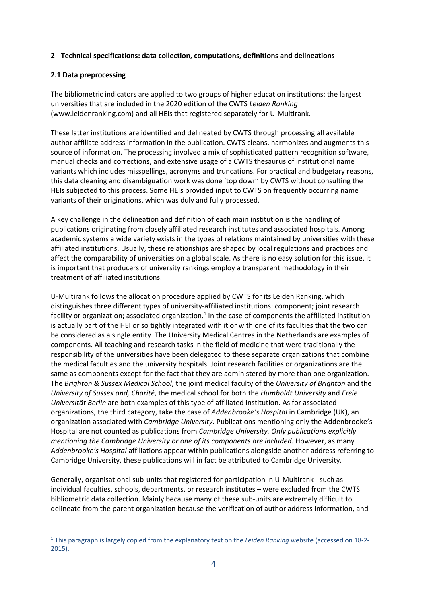### **2 Technical specifications: data collection, computations, definitions and delineations**

#### **2.1 Data preprocessing**

The bibliometric indicators are applied to two groups of higher education institutions: the largest universities that are included in the 2020 edition of the CWTS *Leiden Ranking* (www.leidenranking.com) and all HEIs that registered separately for U‐Multirank.

These latter institutions are identified and delineated by CWTS through processing all available author affiliate address information in the publication. CWTS cleans, harmonizes and augments this source of information. The processing involved a mix of sophisticated pattern recognition software, manual checks and corrections, and extensive usage of a CWTS thesaurus of institutional name variants which includes misspellings, acronyms and truncations. For practical and budgetary reasons, this data cleaning and disambiguation work was done 'top down' by CWTS without consulting the HEIs subjected to this process. Some HEIs provided input to CWTS on frequently occurring name variants of their originations, which was duly and fully processed.

A key challenge in the delineation and definition of each main institution is the handling of publications originating from closely affiliated research institutes and associated hospitals. Among academic systems a wide variety exists in the types of relations maintained by universities with these affiliated institutions. Usually, these relationships are shaped by local regulations and practices and affect the comparability of universities on a global scale. As there is no easy solution for this issue, it is important that producers of university rankings employ a transparent methodology in their treatment of affiliated institutions.

U-Multirank follows the allocation procedure applied by CWTS for its Leiden Ranking, which distinguishes three different types of university‐affiliated institutions: component; joint research facility or organization; associated organization.<sup>1</sup> In the case of components the affiliated institution is actually part of the HEI or so tightly integrated with it or with one of its faculties that the two can be considered as a single entity. The University Medical Centres in the Netherlands are examples of components. All teaching and research tasks in the field of medicine that were traditionally the responsibility of the universities have been delegated to these separate organizations that combine the medical faculties and the university hospitals. Joint research facilities or organizations are the same as components except for the fact that they are administered by more than one organization. The *Brighton & Sussex Medical School*, the joint medical faculty of the *University of Brighton* and the *University of Sussex and, Charité*, the medical school for both the *Humboldt University* and *Freie Universität Berlin* are both examples of this type of affiliated institution. As for associated organizations, the third category, take the case of *Addenbrooke's Hospital* in Cambridge (UK), an organization associated with *Cambridge University.* Publications mentioning only the Addenbrooke's Hospital are not counted as publications from *Cambridge University. Only publications explicitly mentioning the Cambridge University or one of its components are included.* However, as many *Addenbrooke's Hospital* affiliations appear within publications alongside another address referring to Cambridge University, these publications will in fact be attributed to Cambridge University.

Generally, organisational sub‐units that registered for participation in U‐Multirank ‐ such as individual faculties, schools, departments, or research institutes – were excluded from the CWTS bibliometric data collection. Mainly because many of these sub‐units are extremely difficult to delineate from the parent organization because the verification of author address information, and

<sup>1</sup> This paragraph is largely copied from the explanatory text on the *Leiden Ranking* website (accessed on 18‐2‐ 2015).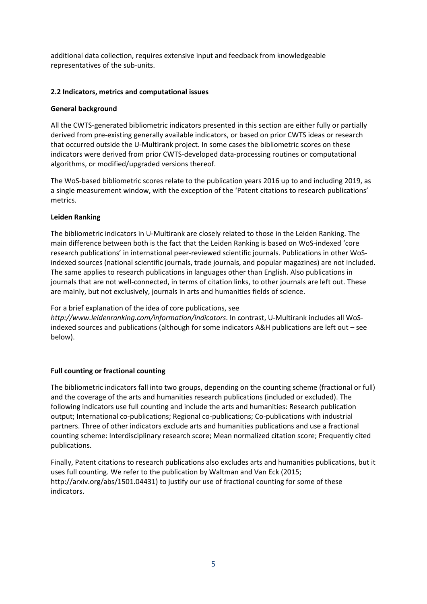additional data collection, requires extensive input and feedback from knowledgeable representatives of the sub-units.

### **2.2 Indicators, metrics and computational issues**

#### **General background**

All the CWTS‐generated bibliometric indicators presented in this section are either fully or partially derived from pre‐existing generally available indicators, or based on prior CWTS ideas or research that occurred outside the U-Multirank project. In some cases the bibliometric scores on these indicators were derived from prior CWTS‐developed data‐processing routines or computational algorithms, or modified/upgraded versions thereof.

The WoS-based bibliometric scores relate to the publication years 2016 up to and including 2019, as a single measurement window, with the exception of the 'Patent citations to research publications' metrics.

### **Leiden Ranking**

The bibliometric indicators in U‐Multirank are closely related to those in the Leiden Ranking. The main difference between both is the fact that the Leiden Ranking is based on WoS‐indexed 'core research publications' in international peer‐reviewed scientific journals. Publications in other WoS‐ indexed sources (national scientific journals, trade journals, and popular magazines) are not included. The same applies to research publications in languages other than English. Also publications in journals that are not well‐connected, in terms of citation links, to other journals are left out. These are mainly, but not exclusively, journals in arts and humanities fields of science.

For a brief explanation of the idea of core publications, see

*http://www.leidenranking.com/information/indicators*. In contrast, U‐Multirank includes all WoS‐ indexed sources and publications (although for some indicators A&H publications are left out – see below).

# **Full counting or fractional counting**

The bibliometric indicators fall into two groups, depending on the counting scheme (fractional or full) and the coverage of the arts and humanities research publications (included or excluded). The following indicators use full counting and include the arts and humanities: Research publication output; International co‐publications; Regional co‐publications; Co‐publications with industrial partners. Three of other indicators exclude arts and humanities publications and use a fractional counting scheme: Interdisciplinary research score; Mean normalized citation score; Frequently cited publications.

Finally, Patent citations to research publications also excludes arts and humanities publications, but it uses full counting. We refer to the publication by Waltman and Van Eck (2015; http://arxiv.org/abs/1501.04431) to justify our use of fractional counting for some of these indicators.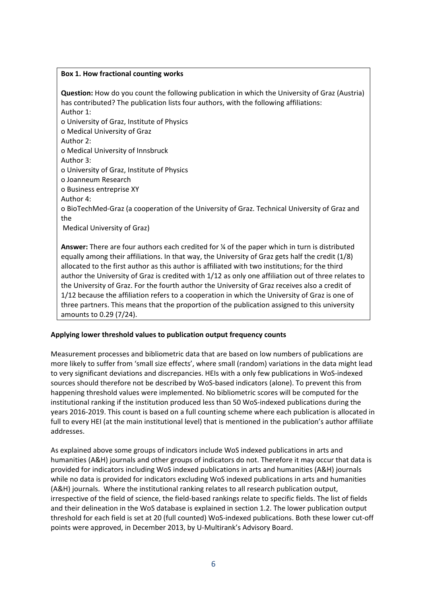#### **Box 1. How fractional counting works**

**Question:** How do you count the following publication in which the University of Graz (Austria) has contributed? The publication lists four authors, with the following affiliations: Author 1:

o University of Graz, Institute of Physics

o Medical University of Graz

Author 2:

o Medical University of Innsbruck

Author 3:

o University of Graz, Institute of Physics

o Joanneum Research

o Business entreprise XY

Author 4:

o BioTechMed‐Graz (a cooperation of the University of Graz. Technical University of Graz and the

Medical University of Graz)

**Answer:** There are four authors each credited for ¼ of the paper which in turn is distributed equally among their affiliations. In that way, the University of Graz gets half the credit (1/8) allocated to the first author as this author is affiliated with two institutions; for the third author the University of Graz is credited with 1/12 as only one affiliation out of three relates to the University of Graz. For the fourth author the University of Graz receives also a credit of 1/12 because the affiliation refers to a cooperation in which the University of Graz is one of three partners. This means that the proportion of the publication assigned to this university amounts to 0.29 (7/24).

# **Applying lower threshold values to publication output frequency counts**

Measurement processes and bibliometric data that are based on low numbers of publications are more likely to suffer from 'small size effects', where small (random) variations in the data might lead to very significant deviations and discrepancies. HEIs with a only few publications in WoS-indexed sources should therefore not be described by WoS-based indicators (alone). To prevent this from happening threshold values were implemented. No bibliometric scores will be computed for the institutional ranking if the institution produced less than 50 WoS-indexed publications during the years 2016‐2019. This count is based on a full counting scheme where each publication is allocated in full to every HEI (at the main institutional level) that is mentioned in the publication's author affiliate addresses.

As explained above some groups of indicators include WoS indexed publications in arts and humanities (A&H) journals and other groups of indicators do not. Therefore it may occur that data is provided for indicators including WoS indexed publications in arts and humanities (A&H) journals while no data is provided for indicators excluding WoS indexed publications in arts and humanities (A&H) journals. Where the institutional ranking relates to all research publication output, irrespective of the field of science, the field‐based rankings relate to specific fields. The list of fields and their delineation in the WoS database is explained in section 1.2. The lower publication output threshold for each field is set at 20 (full counted) WoS‐indexed publications. Both these lower cut‐off points were approved, in December 2013, by U‐Multirank's Advisory Board.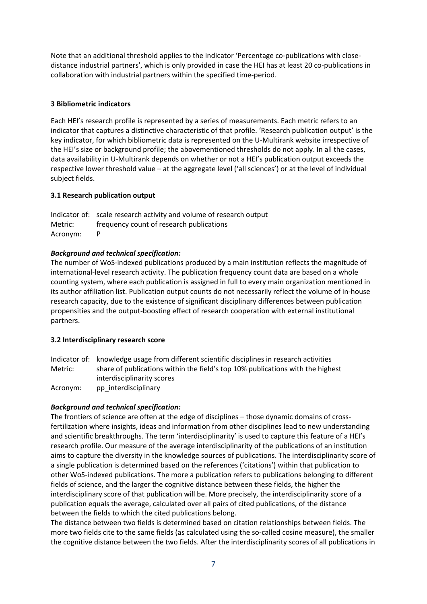Note that an additional threshold applies to the indicator 'Percentage co‐publications with close‐ distance industrial partners', which is only provided in case the HEI has at least 20 co‐publications in collaboration with industrial partners within the specified time‐period.

# **3 Bibliometric indicators**

Each HEI's research profile is represented by a series of measurements. Each metric refers to an indicator that captures a distinctive characteristic of that profile. 'Research publication output' is the key indicator, for which bibliometric data is represented on the U-Multirank website irrespective of the HEI's size or background profile; the abovementioned thresholds do not apply. In all the cases, data availability in U‐Multirank depends on whether or not a HEI's publication output exceeds the respective lower threshold value – at the aggregate level ('all sciences') or at the level of individual subject fields.

### **3.1 Research publication output**

Indicator of: scale research activity and volume of research output Metric: frequency count of research publications Acronym: P

### *Background and technical specification:*

The number of WoS-indexed publications produced by a main institution reflects the magnitude of international-level research activity. The publication frequency count data are based on a whole counting system, where each publication is assigned in full to every main organization mentioned in its author affiliation list. Publication output counts do not necessarily reflect the volume of in‐house research capacity, due to the existence of significant disciplinary differences between publication propensities and the output‐boosting effect of research cooperation with external institutional partners.

#### **3.2 Interdisciplinary research score**

Indicator of: knowledge usage from different scientific disciplines in research activities Metric: share of publications within the field's top 10% publications with the highest interdisciplinarity scores

Acronym: pp\_interdisciplinary

# *Background and technical specification:*

The frontiers of science are often at the edge of disciplines – those dynamic domains of crossfertilization where insights, ideas and information from other disciplines lead to new understanding and scientific breakthroughs. The term 'interdisciplinarity' is used to capture this feature of a HEI's research profile. Our measure of the average interdisciplinarity of the publications of an institution aims to capture the diversity in the knowledge sources of publications. The interdisciplinarity score of a single publication is determined based on the references ('citations') within that publication to other WoS‐indexed publications. The more a publication refers to publications belonging to different fields of science, and the larger the cognitive distance between these fields, the higher the interdisciplinary score of that publication will be. More precisely, the interdisciplinarity score of a publication equals the average, calculated over all pairs of cited publications, of the distance between the fields to which the cited publications belong.

The distance between two fields is determined based on citation relationships between fields. The more two fields cite to the same fields (as calculated using the so-called cosine measure), the smaller the cognitive distance between the two fields. After the interdisciplinarity scores of all publications in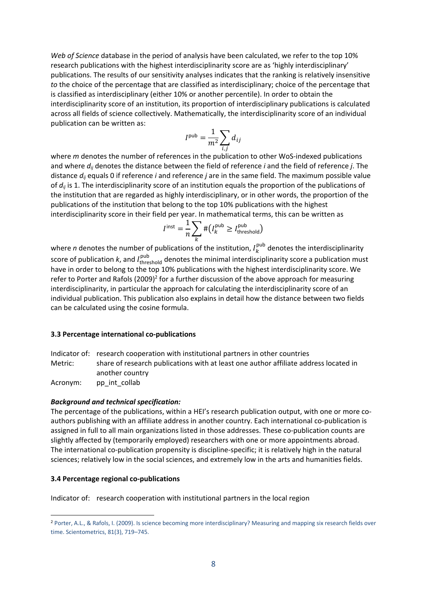*Web of Science* database in the period of analysis have been calculated, we refer to the top 10% research publications with the highest interdisciplinarity score are as 'highly interdisciplinary' publications. The results of our sensitivity analyses indicates that the ranking is relatively insensitive *to* the choice of the percentage that are classified as interdisciplinary; choice of the percentage that is classified as interdisciplinary (either 10% or another percentile). In order to obtain the interdisciplinarity score of an institution, its proportion of interdisciplinary publications is calculated across all fields of science collectively. Mathematically, the interdisciplinarity score of an individual publication can be written as:

$$
I^{\text{pub}} = \frac{1}{m^2} \sum_{i,j} d_{ij}
$$

where *m* denotes the number of references in the publication to other WoS-indexed publications and where *dij* denotes the distance between the field of reference *i* and the field of reference *j*. The distance *dij* equals 0 if reference *i* and reference *j* are in the same field. The maximum possible value of  $d_{ii}$  is 1. The interdisciplinarity score of an institution equals the proportion of the publications of the institution that are regarded as highly interdisciplinary, or in other words, the proportion of the publications of the institution that belong to the top 10% publications with the highest interdisciplinarity score in their field per year. In mathematical terms, this can be written as

$$
I^{\text{inst}} = \frac{1}{n} \sum_{k} # (I_k^{\text{pub}} \ge I_{\text{threshold}}^{\text{pub}})
$$

where *n* denotes the number of publications of the institution,  $I_{k}^{\text{pub}}$  denotes the interdisciplinarity score of publication *k*, and *I*<sub>threshold</sub> denotes the minimal interdisciplinarity score a publication must have in order to belong to the top 10% publications with the highest interdisciplinarity score. We refer to Porter and Rafols  $(2009)^2$  for a further discussion of the above approach for measuring interdisciplinarity, in particular the approach for calculating the interdisciplinarity score of an individual publication. This publication also explains in detail how the distance between two fields can be calculated using the cosine formula.

#### **3.3 Percentage international co‐publications**

Indicator of: research cooperation with institutional partners in other countries Metric: share of research publications with at least one author affiliate address located in another country

Acronym: pp\_int\_collab

#### *Background and technical specification:*

The percentage of the publications, within a HEI's research publication output, with one or more co‐ authors publishing with an affiliate address in another country. Each international co-publication is assigned in full to all main organizations listed in those addresses. These co-publication counts are slightly affected by (temporarily employed) researchers with one or more appointments abroad. The international co-publication propensity is discipline-specific; it is relatively high in the natural sciences; relatively low in the social sciences, and extremely low in the arts and humanities fields.

#### **3.4 Percentage regional co‐publications**

Indicator of: research cooperation with institutional partners in the local region

<sup>2</sup> Porter, A.L., & Rafols, I. (2009). Is science becoming more interdisciplinary? Measuring and mapping six research fields over time. Scientometrics, 81(3), 719–745.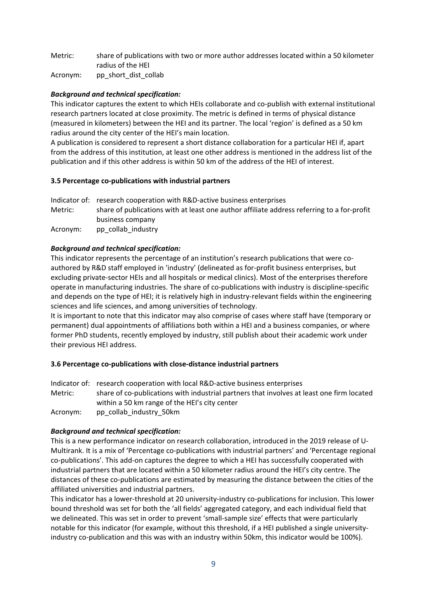Metric: share of publications with two or more author addresses located within a 50 kilometer radius of the HEI

Acronym: pp\_short\_dist\_collab

# *Background and technical specification:*

This indicator captures the extent to which HEIs collaborate and co‐publish with external institutional research partners located at close proximity. The metric is defined in terms of physical distance (measured in kilometers) between the HEI and its partner. The local 'region' is defined as a 50 km radius around the city center of the HEI's main location.

A publication is considered to represent a short distance collaboration for a particular HEI if, apart from the address of this institution, at least one other address is mentioned in the address list of the publication and if this other address is within 50 km of the address of the HEI of interest.

# **3.5 Percentage co‐publications with industrial partners**

Indicator of: research cooperation with R&D-active business enterprises Metric: share of publications with at least one author affiliate address referring to a for-profit business company Acronym: pp\_collab\_industry

# *Background and technical specification:*

This indicator represents the percentage of an institution's research publications that were co‐ authored by R&D staff employed in 'industry' (delineated as for‐profit business enterprises, but excluding private‐sector HEIs and all hospitals or medical clinics). Most of the enterprises therefore operate in manufacturing industries. The share of co‐publications with industry is discipline‐specific and depends on the type of HEI; it is relatively high in industry-relevant fields within the engineering sciences and life sciences, and among universities of technology.

It is important to note that this indicator may also comprise of cases where staff have (temporary or permanent) dual appointments of affiliations both within a HEI and a business companies, or where former PhD students, recently employed by industry, still publish about their academic work under their previous HEI address.

# **3.6 Percentage co‐publications with close‐distance industrial partners**

Indicator of: research cooperation with local R&D-active business enterprises Metric: share of co-publications with industrial partners that involves at least one firm located within a 50 km range of the HEI's city center Acronym: pp\_collab\_industry\_50km

# *Background and technical specification:*

This is a new performance indicator on research collaboration, introduced in the 2019 release of U‐ Multirank. It is a mix of 'Percentage co‐publications with industrial partners' and 'Percentage regional co‐publications'. This add‐on captures the degree to which a HEI has successfully cooperated with industrial partners that are located within a 50 kilometer radius around the HEI's city centre. The distances of these co‐publications are estimated by measuring the distance between the cities of the affiliated universities and industrial partners.

This indicator has a lower‐threshold at 20 university‐industry co‐publications for inclusion. This lower bound threshold was set for both the 'all fields' aggregated category, and each individual field that we delineated. This was set in order to prevent 'small‐sample size' effects that were particularly notable for this indicator (for example, without this threshold, if a HEI published a single university‐ industry co-publication and this was with an industry within 50km, this indicator would be 100%).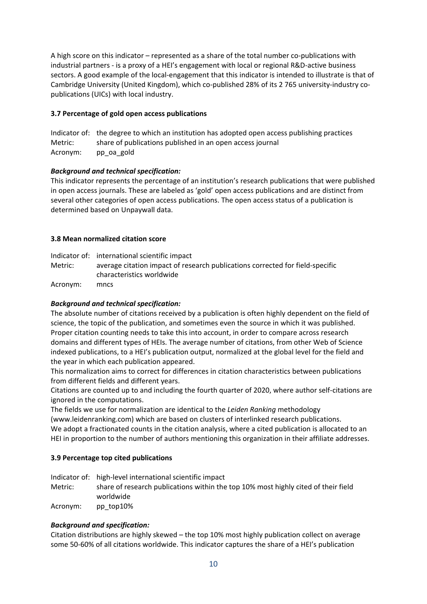A high score on this indicator – represented as a share of the total number co‐publications with industrial partners ‐ is a proxy of a HEI's engagement with local or regional R&D‐active business sectors. A good example of the local-engagement that this indicator is intended to illustrate is that of Cambridge University (United Kingdom), which co‐published 28% of its 2 765 university‐industry co‐ publications (UICs) with local industry.

# **3.7 Percentage of gold open access publications**

|          | Indicator of: the degree to which an institution has adopted open access publishing practices |
|----------|-----------------------------------------------------------------------------------------------|
| Metric:  | share of publications published in an open access journal                                     |
| Acronym: | pp oa gold                                                                                    |

# *Background and technical specification:*

This indicator represents the percentage of an institution's research publications that were published in open access journals. These are labeled as 'gold' open access publications and are distinct from several other categories of open access publications. The open access status of a publication is determined based on Unpaywall data.

# **3.8 Mean normalized citation score**

Indicator of: international scientific impact Metric: average citation impact of research publications corrected for field‐specific characteristics worldwide

Acronym: mncs

# *Background and technical specification:*

The absolute number of citations received by a publication is often highly dependent on the field of science, the topic of the publication, and sometimes even the source in which it was published. Proper citation counting needs to take this into account, in order to compare across research domains and different types of HEIs. The average number of citations, from other Web of Science indexed publications, to a HEI's publication output, normalized at the global level for the field and the year in which each publication appeared.

This normalization aims to correct for differences in citation characteristics between publications from different fields and different years.

Citations are counted up to and including the fourth quarter of 2020, where author self‐citations are ignored in the computations.

The fields we use for normalization are identical to the *Leiden Ranking* methodology

(www.leidenranking.com) which are based on clusters of interlinked research publications.

We adopt a fractionated counts in the citation analysis, where a cited publication is allocated to an HEI in proportion to the number of authors mentioning this organization in their affiliate addresses.

# **3.9 Percentage top cited publications**

Indicator of: high‐level international scientific impact

Metric: share of research publications within the top 10% most highly cited of their field worldwide

Acronym: pp\_top10%

# *Background and specification:*

Citation distributions are highly skewed – the top 10% most highly publication collect on average some 50‐60% of all citations worldwide. This indicator captures the share of a HEI's publication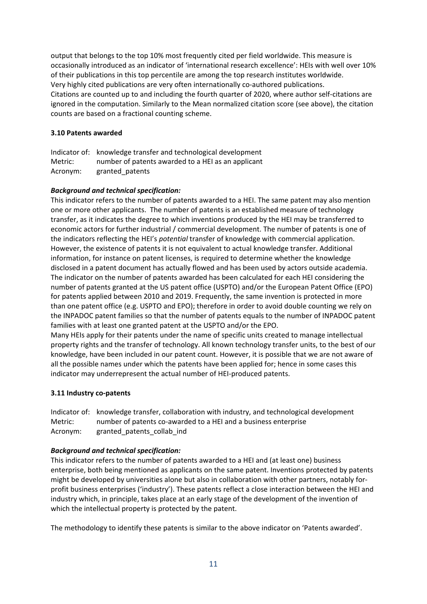output that belongs to the top 10% most frequently cited per field worldwide. This measure is occasionally introduced as an indicator of 'international research excellence': HEIs with well over 10% of their publications in this top percentile are among the top research institutes worldwide. Very highly cited publications are very often internationally co-authored publications. Citations are counted up to and including the fourth quarter of 2020, where author self‐citations are ignored in the computation. Similarly to the Mean normalized citation score (see above), the citation counts are based on a fractional counting scheme.

### **3.10 Patents awarded**

Indicator of: knowledge transfer and technological development Metric: number of patents awarded to a HEI as an applicant Acronym: granted\_patents

### *Background and technical specification:*

This indicator refers to the number of patents awarded to a HEI. The same patent may also mention one or more other applicants. The number of patents is an established measure of technology transfer, as it indicates the degree to which inventions produced by the HEI may be transferred to economic actors for further industrial / commercial development. The number of patents is one of the indicators reflecting the HEI's *potential* transfer of knowledge with commercial application. However, the existence of patents it is not equivalent to actual knowledge transfer. Additional information, for instance on patent licenses, is required to determine whether the knowledge disclosed in a patent document has actually flowed and has been used by actors outside academia. The indicator on the number of patents awarded has been calculated for each HEI considering the number of patents granted at the US patent office (USPTO) and/or the European Patent Office (EPO) for patents applied between 2010 and 2019. Frequently, the same invention is protected in more than one patent office (e.g. USPTO and EPO); therefore in order to avoid double counting we rely on the INPADOC patent families so that the number of patents equals to the number of INPADOC patent families with at least one granted patent at the USPTO and/or the EPO. Many HEIs apply for their patents under the name of specific units created to manage intellectual

property rights and the transfer of technology. All known technology transfer units, to the best of our knowledge, have been included in our patent count. However, it is possible that we are not aware of all the possible names under which the patents have been applied for; hence in some cases this indicator may underrepresent the actual number of HEI‐produced patents.

#### **3.11 Industry co‐patents**

Indicator of: knowledge transfer, collaboration with industry, and technological development Metric: humber of patents co-awarded to a HEI and a business enterprise Acronym: granted\_patents\_collab\_ind

#### *Background and technical specification:*

This indicator refers to the number of patents awarded to a HEI and (at least one) business enterprise, both being mentioned as applicants on the same patent. Inventions protected by patents might be developed by universities alone but also in collaboration with other partners, notably for‐ profit business enterprises ('industry'). These patents reflect a close interaction between the HEI and industry which, in principle, takes place at an early stage of the development of the invention of which the intellectual property is protected by the patent.

The methodology to identify these patents is similar to the above indicator on 'Patents awarded'.